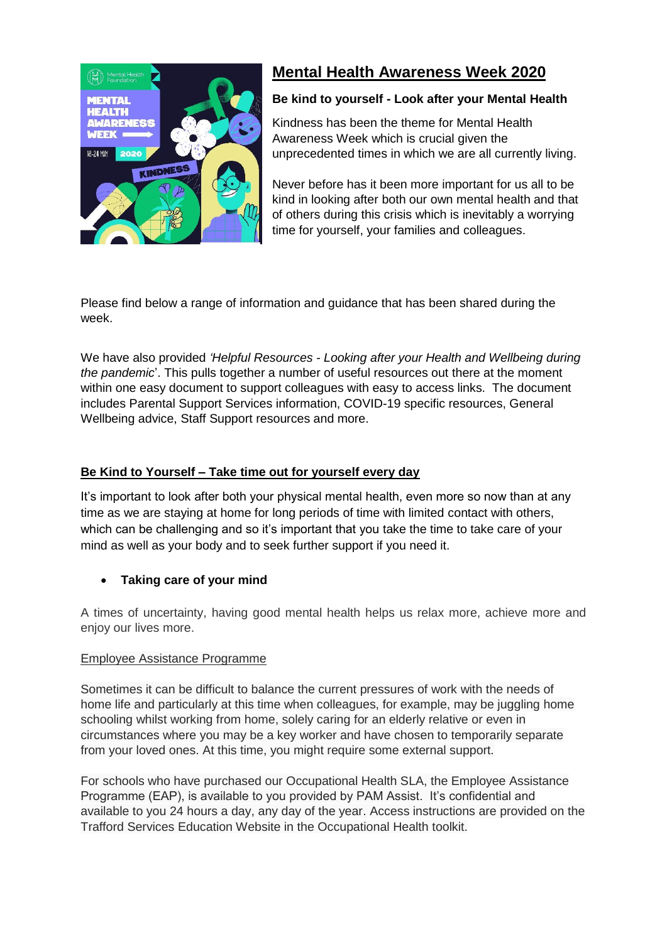

# **Mental Health Awareness Week 2020**

## **Be kind to yourself - Look after your Mental Health**

Kindness has been the theme for Mental Health Awareness Week which is crucial given the unprecedented times in which we are all currently living.

Never before has it been more important for us all to be kind in looking after both our own mental health and that of others during this crisis which is inevitably a worrying time for yourself, your families and colleagues.

Please find below a range of information and guidance that has been shared during the week.

We have also provided *'Helpful Resources - Looking after your Health and Wellbeing during the pandemic*'. This pulls together a number of useful resources out there at the moment within one easy document to support colleagues with easy to access links. The document includes Parental Support Services information, COVID-19 specific resources, General Wellbeing advice, Staff Support resources and more.

## **Be Kind to Yourself – Take time out for yourself every day**

It's important to look after both your physical mental health, even more so now than at any time as we are staying at home for long periods of time with limited contact with others, which can be challenging and so it's important that you take the time to take care of your mind as well as your body and to seek further support if you need it.

## **Taking care of your mind**

A times of uncertainty, having good mental health helps us relax more, achieve more and enjoy our lives more.

## Employee Assistance Programme

Sometimes it can be difficult to balance the current pressures of work with the needs of home life and particularly at this time when colleagues, for example, may be juggling home schooling whilst working from home, solely caring for an elderly relative or even in circumstances where you may be a key worker and have chosen to temporarily separate from your loved ones. At this time, you might require some external support.

For schools who have purchased our Occupational Health SLA, the Employee Assistance Programme (EAP), is available to you provided by PAM Assist. It's confidential and available to you 24 hours a day, any day of the year. Access instructions are provided on the Trafford Services Education Website in the Occupational Health toolkit.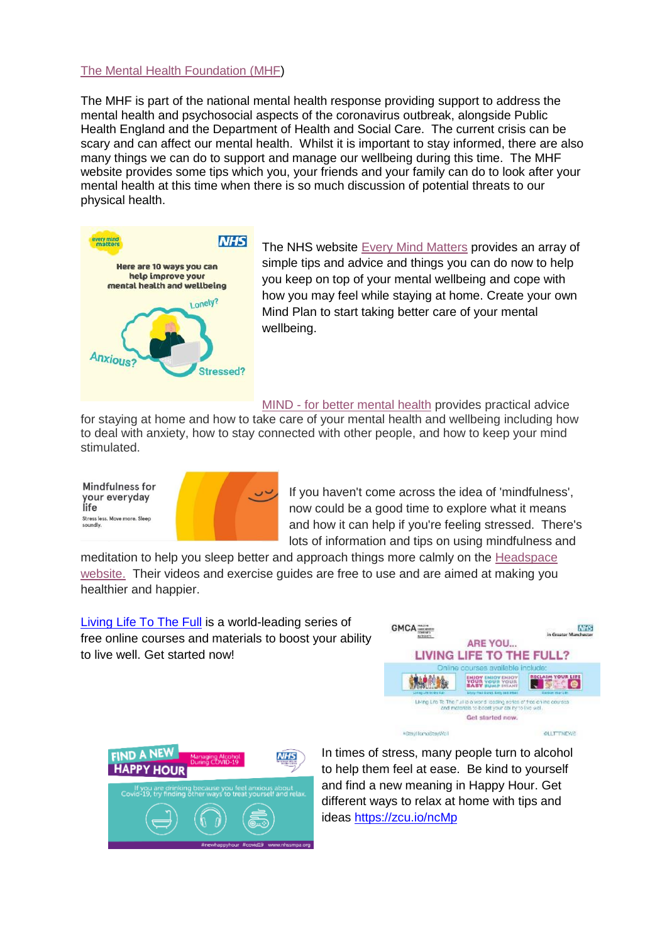#### [The Mental Health Foundation \(MHF\)](https://www.mentalhealth.org.uk/campaigns/mental-health-awareness-week)

The MHF is part of the national mental health response providing support to address the mental health and psychosocial aspects of the coronavirus outbreak, alongside Public Health England and the Department of Health and Social Care. The current crisis can be scary and can affect our mental health. Whilst it is important to stay informed, there are also many things we can do to support and manage our wellbeing during this time. The MHF website provides some tips which you, your friends and your family can do to look after your mental health at this time when there is so much discussion of potential threats to our physical health.



The NHS website [Every Mind Matters](https://www.nhs.uk/oneyou/every-mind-matters/coronavirus-covid-19-staying-at-home-tips/) provides an array of simple tips and advice and things you can do now to help you keep on top of your mental wellbeing and cope with how you may feel while staying at home. Create your own Mind Plan to start taking better care of your mental wellbeing.

MIND - for better [mental](https://www.mind.org.uk/information-support/coronavirus-and-your-wellbeing/) health provides practical advice

for staying at home and how to take care of your mental health and wellbeing including how to deal with anxiety, how to stay connected with other people, and how to keep your mind stimulated.





If you haven't come across the idea of 'mindfulness', now could be a good time to explore what it means and how it can help if you're feeling stressed. There's lots of information and tips on using mindfulness and

meditation to help you sleep better and approach things more calmly on the [Headspace](https://www.headspace.com/?%243p=a_google_adwords&%24always_deeplink=false&gclid=EAIaIQobChMIxaXZyMjs6AIVme3tCh0EFAv5EAAYASAAEgL_xfD_BwE&gclid=EAIaIQobChMIxaXZyMjs6AIVme3tCh0EFAv5EAAYASAAEgL_xfD_BwE&lpurl=https%3A%2F%2Fwww.headspace.com&~ad_set_id=51529951612&~campaign_id=917256451&~channel=g&~keyword=headspace&~placement=&_branch_match_id=671658788743035607)  [website.](https://www.headspace.com/?%243p=a_google_adwords&%24always_deeplink=false&gclid=EAIaIQobChMIxaXZyMjs6AIVme3tCh0EFAv5EAAYASAAEgL_xfD_BwE&gclid=EAIaIQobChMIxaXZyMjs6AIVme3tCh0EFAv5EAAYASAAEgL_xfD_BwE&lpurl=https%3A%2F%2Fwww.headspace.com&~ad_set_id=51529951612&~campaign_id=917256451&~channel=g&~keyword=headspace&~placement=&_branch_match_id=671658788743035607) Their videos and exercise guides are free to use and are aimed at making you healthier and happier.

[Living Life To The Full](https://www.gmhealthhub.org/feeling/living-life-to-the-full) is a world-leading series of free online courses and materials to boost your ability to live well. Get started now!





In times of stress, many people turn to alcohol to help them feel at ease. Be kind to yourself and find a new meaning in Happy Hour. Get different ways to relax at home with tips and ideas<https://zcu.io/ncMp>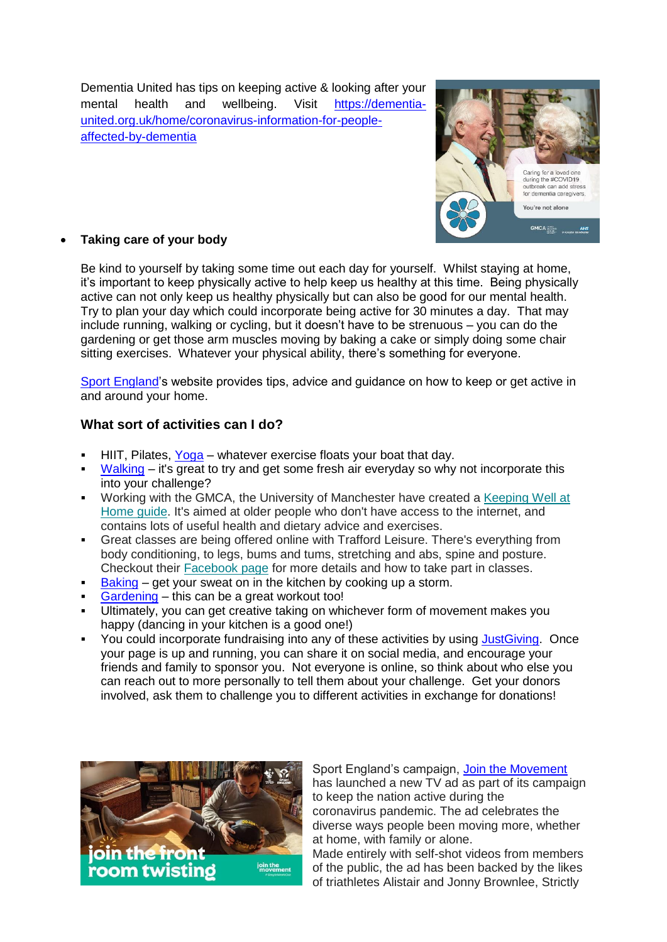Dementia United has tips on keeping active & looking after your mental health and wellbeing. Visit [https://dementia](https://dementia-united.org.uk/home/coronavirus-information-for-people-affected-by-dementia)[united.org.uk/home/coronavirus-information-for-people](https://dementia-united.org.uk/home/coronavirus-information-for-people-affected-by-dementia)[affected-by-dementia](https://dementia-united.org.uk/home/coronavirus-information-for-people-affected-by-dementia)



## **Taking care of your body**

Be kind to yourself by taking some time out each day for yourself. Whilst staying at home, it's important to keep physically active to help keep us healthy at this time. Being physically active can not only keep us healthy physically but can also be good for our mental health. Try to plan your day which could incorporate being active for 30 minutes a day. That may include running, walking or cycling, but it doesn't have to be strenuous – you can do the gardening or get those arm muscles moving by baking a cake or simply doing some chair sitting exercises. Whatever your physical ability, there's something for everyone.

[Sport England'](https://www.sportengland.org/stayinworkout)s website provides tips, advice and guidance on how to keep or get active in and around your home.

## **What sort of activities can I do?**

- HIIT, Pilates, [Yoga](https://www.youtube.com/playlist?list=PL4z1_0UdNR70GZE9eGuDY_VlQBE78ebQ8&) whatever exercise floats your boat that day.
- [Walking](https://gmwalking.co.uk/walking-during-covid-19-information-resources/) it's great to try and get some fresh air everyday so why not incorporate this into your challenge?
- Working with the GMCA, the University of Manchester have created a [Keeping Well at](https://www.greatermanchester-ca.gov.uk/media/2816/keeping-well-at-home-gm.pdf)  [Home guide.](https://www.greatermanchester-ca.gov.uk/media/2816/keeping-well-at-home-gm.pdf) It's aimed at older people who don't have access to the internet, and contains lots of useful health and dietary advice and exercises.
- Great classes are being offered online with Trafford Leisure. There's everything from body conditioning, to legs, bums and tums, stretching and abs, spine and posture. Checkout their [Facebook page](https://www.facebook.com/traffordleisurecic/) for more details and how to take part in classes.
- $Baking get your sweet on in the kitchen by cooking up a storm.$  $Baking get your sweet on in the kitchen by cooking up a storm.$
- [Gardening](https://www.rhs.org.uk/advice/design) this can be a great workout too!
- Ultimately, you can get creative taking on whichever form of movement makes you happy (dancing in your kitchen is a good one!)
- You could incorporate fundraising into any of these activities by using Just Giving. Once your page is up and running, you can share it on social media, and encourage your friends and family to sponsor you. Not everyone is online, so think about who else you can reach out to more personally to tell them about your challenge. Get your donors involved, ask them to challenge you to different activities in exchange for donations!



Sport England's campaign, [Join the Movement](https://www.sportengland.org/news/join-movement) has launched a new TV ad as part of its campaign to keep the nation active during the coronavirus pandemic. The ad celebrates the diverse ways people been moving more, whether at home, with family or alone. Made entirely with self-shot videos from members

of the public, the ad has been backed by the likes of triathletes Alistair and Jonny Brownlee, Strictly